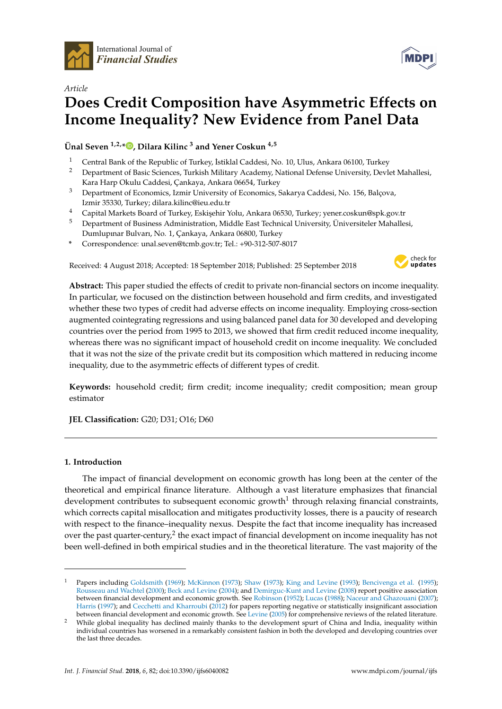

### *Article*

# **Does Credit Composition have Asymmetric Effects on Income Inequality? New Evidence from Panel Data**

**Ünal Seven 1,2,[\\*](https://orcid.org/0000-0001-8751-807X) , Dilara Kilinc <sup>3</sup> and Yener Coskun 4,5**

- <sup>1</sup> Central Bank of the Republic of Turkey, İstiklal Caddesi, No. 10, Ulus, Ankara 06100, Turkey<br><sup>2</sup> Department of Basis Sciences, Turkish Military Academy, National Defense University Devel
- <sup>2</sup> Department of Basic Sciences, Turkish Military Academy, National Defense University, Devlet Mahallesi, Kara Harp Okulu Caddesi, Çankaya, Ankara 06654, Turkey
- <sup>3</sup> Department of Economics, Izmir University of Economics, Sakarya Caddesi, No. 156, Balçova, Izmir 35330, Turkey; dilara.kilinc@ieu.edu.tr
- <sup>4</sup> Capital Markets Board of Turkey, Eski¸sehir Yolu, Ankara 06530, Turkey; yener.coskun@spk.gov.tr
- <sup>5</sup> Department of Business Administration, Middle East Technical University, Üniversiteler Mahallesi, Dumlupınar Bulvarı, No. 1, Çankaya, Ankara 06800, Turkey
- **\*** Correspondence: unal.seven@tcmb.gov.tr; Tel.: +90-312-507-8017

Received: 4 August 2018; Accepted: 18 September 2018; Published: 25 September 2018



**Abstract:** This paper studied the effects of credit to private non-financial sectors on income inequality. In particular, we focused on the distinction between household and firm credits, and investigated whether these two types of credit had adverse effects on income inequality. Employing cross-section augmented cointegrating regressions and using balanced panel data for 30 developed and developing countries over the period from 1995 to 2013, we showed that firm credit reduced income inequality, whereas there was no significant impact of household credit on income inequality. We concluded that it was not the size of the private credit but its composition which mattered in reducing income inequality, due to the asymmetric effects of different types of credit.

**Keywords:** household credit; firm credit; income inequality; credit composition; mean group estimator

**JEL Classification:** G20; D31; O16; D60

### **1. Introduction**

The impact of financial development on economic growth has long been at the center of the theoretical and empirical finance literature. Although a vast literature emphasizes that financial development contributes to subsequent economic growth<sup>1</sup> through relaxing financial constraints, which corrects capital misallocation and mitigates productivity losses, there is a paucity of research with respect to the finance–inequality nexus. Despite the fact that income inequality has increased over the past quarter-century,<sup>2</sup> the exact impact of financial development on income inequality has not been well-defined in both empirical studies and in the theoretical literature. The vast majority of the



<sup>1</sup> Papers including [Goldsmith](#page-13-0) [\(1969\)](#page-13-0); [McKinnon](#page-13-1) [\(1973\)](#page-13-1); [Shaw](#page-14-0) [\(1973\)](#page-14-0); [King and Levine](#page-13-2) [\(1993\)](#page-13-2); [Bencivenga et al.](#page-12-0) [\(1995\)](#page-12-0); [Rousseau and Wachtel](#page-14-1) [\(2000\)](#page-14-1); [Beck and Levine](#page-12-1) [\(2004\)](#page-12-1); and [Demirguc-Kunt and Levine](#page-13-3) [\(2008\)](#page-13-3) report positive association between financial development and economic growth. See [Robinson](#page-14-2) [\(1952\)](#page-14-2); [Lucas](#page-13-4) [\(1988\)](#page-13-4); [Naceur and Ghazouani](#page-13-5) [\(2007\)](#page-13-5); [Harris](#page-13-6) [\(1997\)](#page-13-6); and [Cecchetti and Kharroubi](#page-13-7) [\(2012\)](#page-13-7) for papers reporting negative or statistically insignificant association between financial development and economic growth. See [Levine](#page-13-8) [\(2005\)](#page-13-8) for comprehensive reviews of the related literature.

<sup>&</sup>lt;sup>2</sup> While global inequality has declined mainly thanks to the development spurt of China and India, inequality within individual countries has worsened in a remarkably consistent fashion in both the developed and developing countries over the last three decades.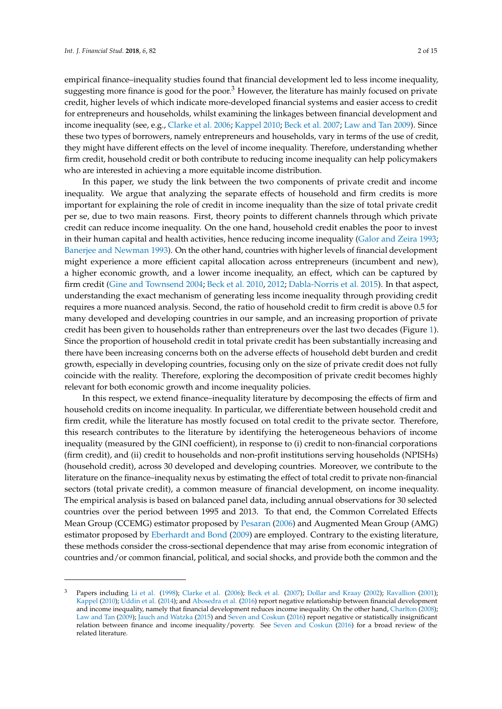empirical finance–inequality studies found that financial development led to less income inequality, suggesting more finance is good for the poor.<sup>3</sup> However, the literature has mainly focused on private credit, higher levels of which indicate more-developed financial systems and easier access to credit for entrepreneurs and households, whilst examining the linkages between financial development and income inequality (see, e.g., [Clarke et al.](#page-13-9) [2006;](#page-13-9) [Kappel](#page-13-10) [2010;](#page-13-10) [Beck et al.](#page-12-2) [2007;](#page-12-2) [Law and Tan](#page-13-11) [2009\)](#page-13-11). Since these two types of borrowers, namely entrepreneurs and households, vary in terms of the use of credit, they might have different effects on the level of income inequality. Therefore, understanding whether firm credit, household credit or both contribute to reducing income inequality can help policymakers who are interested in achieving a more equitable income distribution.

In this paper, we study the link between the two components of private credit and income inequality. We argue that analyzing the separate effects of household and firm credits is more important for explaining the role of credit in income inequality than the size of total private credit per se, due to two main reasons. First, theory points to different channels through which private credit can reduce income inequality. On the one hand, household credit enables the poor to invest in their human capital and health activities, hence reducing income inequality [\(Galor and Zeira](#page-13-12) [1993;](#page-13-12) [Banerjee and Newman](#page-12-3) [1993\)](#page-12-3). On the other hand, countries with higher levels of financial development might experience a more efficient capital allocation across entrepreneurs (incumbent and new), a higher economic growth, and a lower income inequality, an effect, which can be captured by firm credit [\(Gine and Townsend](#page-13-13) [2004;](#page-13-13) [Beck et al.](#page-12-4) [2010,](#page-12-4) [2012;](#page-12-5) [Dabla-Norris et al.](#page-13-14) [2015\)](#page-13-14). In that aspect, understanding the exact mechanism of generating less income inequality through providing credit requires a more nuanced analysis. Second, the ratio of household credit to firm credit is above 0.5 for many developed and developing countries in our sample, and an increasing proportion of private credit has been given to households rather than entrepreneurs over the last two decades (Figure [1\)](#page-2-0). Since the proportion of household credit in total private credit has been substantially increasing and there have been increasing concerns both on the adverse effects of household debt burden and credit growth, especially in developing countries, focusing only on the size of private credit does not fully coincide with the reality. Therefore, exploring the decomposition of private credit becomes highly relevant for both economic growth and income inequality policies.

In this respect, we extend finance–inequality literature by decomposing the effects of firm and household credits on income inequality. In particular, we differentiate between household credit and firm credit, while the literature has mostly focused on total credit to the private sector. Therefore, this research contributes to the literature by identifying the heterogeneous behaviors of income inequality (measured by the GINI coefficient), in response to (i) credit to non-financial corporations (firm credit), and (ii) credit to households and non-profit institutions serving households (NPISHs) (household credit), across 30 developed and developing countries. Moreover, we contribute to the literature on the finance–inequality nexus by estimating the effect of total credit to private non-financial sectors (total private credit), a common measure of financial development, on income inequality. The empirical analysis is based on balanced panel data, including annual observations for 30 selected countries over the period between 1995 and 2013. To that end, the Common Correlated Effects Mean Group (CCEMG) estimator proposed by [Pesaran](#page-14-3) [\(2006\)](#page-14-3) and Augmented Mean Group (AMG) estimator proposed by [Eberhardt and Bond](#page-13-15) [\(2009\)](#page-13-15) are employed. Contrary to the existing literature, these methods consider the cross-sectional dependence that may arise from economic integration of countries and/or common financial, political, and social shocks, and provide both the common and the

<sup>3</sup> Papers including [Li et al.](#page-13-16) [\(1998\)](#page-13-16); [Clarke et al.](#page-13-9) [\(2006\)](#page-13-9); [Beck et al.](#page-12-2) [\(2007\)](#page-12-2); [Dollar and Kraay](#page-13-17) [\(2002\)](#page-13-17); [Ravallion](#page-14-4) [\(2001\)](#page-14-4); [Kappel](#page-13-10) [\(2010\)](#page-13-10); [Uddin et al.](#page-14-5) [\(2014\)](#page-14-5); and [Abosedra et al.](#page-12-6) [\(2016\)](#page-12-6) report negative relationship between financial development and income inequality, namely that financial development reduces income inequality. On the other hand, [Charlton](#page-13-18) [\(2008\)](#page-13-18); [Law and Tan](#page-13-11) [\(2009\)](#page-13-11); [Jauch and Watzka](#page-13-19) [\(2015\)](#page-13-19) and [Seven and Coskun](#page-14-6) [\(2016\)](#page-14-6) report negative or statistically insignificant relation between finance and income inequality/poverty. See [Seven and Coskun](#page-14-6) [\(2016\)](#page-14-6) for a broad review of the related literature.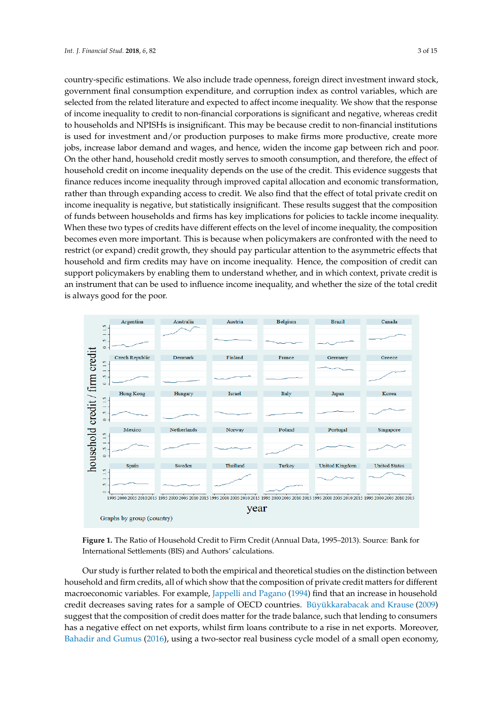country-specific estimations. We also include trade openness, foreign direct investment inward stock, government final consumption expenditure, and corruption index as control variables, which are selected from the related literature and expected to affect income inequality. We show that the response of income inequality to credit to non-financial corporations is significant and negative, whereas credit in the integrations of income in the integration of the integration of the integration of the integration of the inte to households and NPISHs is insignificant. This may be because credit to non-financial institutions is used for investment and/or production purposes to make firms more productive, create more jobs, increase labor demand and wages, and hence, widen the income gap between rich and poor.<br>C On the other hand, household credit mostly serves to smooth consumption, and therefore, the effect of household credit on income inequality depends on the use of the credit. This evidence suggests that<br>. finance reduces income inequality through improved capital allocation and economic transformation, rather than through expanding access to credit. We also find that the effect of total private credit on income inequality is negative, but statistically insignificant. These results suggest that the composition income of funds between households and firms has key implications for policies to tackle income inequality. When these two types of credits have different effects on the level of income inequality, the composition becomes even more important. This is because when policymakers are confronted with the need to restrict (or expand) credit growth, they should pay particular attention to the asymmetric effects that household and firm credits may have on income inequality. Hence, the composition of credit can support policymakers by enabling them to understand whether, and in which context, private credit is an instrument that can be used to influence income inequality, and whether the size of the total credit is always good for the poor.

<span id="page-2-0"></span>

**Figure 1.** The Ratio of Household Credit to Firm Credit (Annual Data, 1995–2013). Source: Bank for **Figure 1.** The Ratio of Household Credit to Firm Credit (Annual Data, 1995–2013). Source: Bank for International Settlements (BIS) and Authors' calculations. International Settlements (BIS) and Authors' calculations.

Our study is further related to both the empirical and theoretical studies on the distinction Our study is further related to both the empirical and theoretical studies on the distinction between household and firm credits, all of which show that the composition of private credit matters for different macroeconomic variables. [For example, Jappelli and P](#page-13-20)agano (1994) find that an increase in household credit decreases saving rates for a sample of OECD countries. Büyükkarabacak and Krause [\(2009\)](#page-13-21)<br>suggest that the composition of credit does matter for the trade balance, such that lending to consumers suggest that the composition of credit does matter for the trade balance, such that lending to consumers has a negative effect on net exports, whilst firm loans contribute to a rise in net exports. Moreover, has a negative effect on net exports, whilst firm loans contribute to a rise in net exports. Moreover,<br>[Bahadir and Gumus](#page-12-7) (2016), using a two-sector real business cycle model of a small open economy,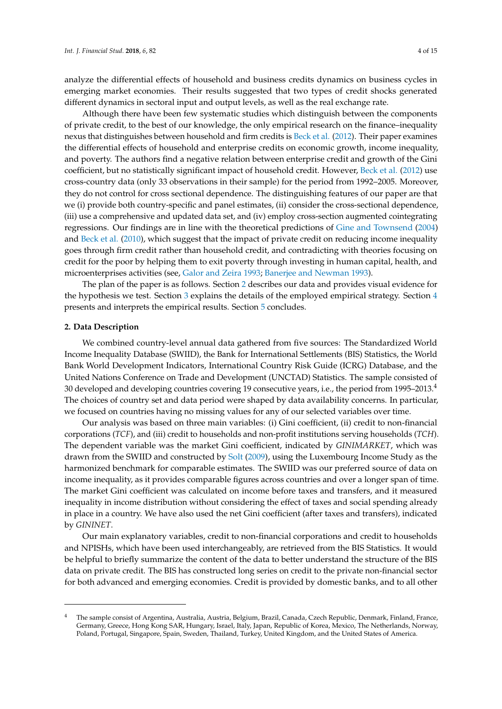analyze the differential effects of household and business credits dynamics on business cycles in emerging market economies. Their results suggested that two types of credit shocks generated different dynamics in sectoral input and output levels, as well as the real exchange rate.

Although there have been few systematic studies which distinguish between the components of private credit, to the best of our knowledge, the only empirical research on the finance–inequality nexus that distinguishes between household and firm credits is [Beck et al.](#page-12-5) [\(2012\)](#page-12-5). Their paper examines the differential effects of household and enterprise credits on economic growth, income inequality, and poverty. The authors find a negative relation between enterprise credit and growth of the Gini coefficient, but no statistically significant impact of household credit. However, [Beck et al.](#page-12-5) [\(2012\)](#page-12-5) use cross-country data (only 33 observations in their sample) for the period from 1992–2005. Moreover, they do not control for cross sectional dependence. The distinguishing features of our paper are that we (i) provide both country-specific and panel estimates, (ii) consider the cross-sectional dependence, (iii) use a comprehensive and updated data set, and (iv) employ cross-section augmented cointegrating regressions. Our findings are in line with the theoretical predictions of [Gine and Townsend](#page-13-13) [\(2004\)](#page-13-13) and [Beck et al.](#page-12-4) [\(2010\)](#page-12-4), which suggest that the impact of private credit on reducing income inequality goes through firm credit rather than household credit, and contradicting with theories focusing on credit for the poor by helping them to exit poverty through investing in human capital, health, and microenterprises activities (see, [Galor and Zeira](#page-13-12) [1993;](#page-13-12) [Banerjee and Newman](#page-12-3) [1993\)](#page-12-3).

The plan of the paper is as follows. Section [2](#page-3-0) describes our data and provides visual evidence for the hypothesis we test. Section [3](#page-5-0) explains the details of the employed empirical strategy. Section [4](#page-6-0) presents and interprets the empirical results. Section [5](#page-10-0) concludes.

### <span id="page-3-0"></span>**2. Data Description**

We combined country-level annual data gathered from five sources: The Standardized World Income Inequality Database (SWIID), the Bank for International Settlements (BIS) Statistics, the World Bank World Development Indicators, International Country Risk Guide (ICRG) Database, and the United Nations Conference on Trade and Development (UNCTAD) Statistics. The sample consisted of 30 developed and developing countries covering 19 consecutive years, i.e., the period from 1995–2013.<sup>4</sup> The choices of country set and data period were shaped by data availability concerns. In particular, we focused on countries having no missing values for any of our selected variables over time.

Our analysis was based on three main variables: (i) Gini coefficient, (ii) credit to non-financial corporations (*TCF*), and (iii) credit to households and non-profit institutions serving households (*TCH*). The dependent variable was the market Gini coefficient, indicated by *GINIMARKET*, which was drawn from the SWIID and constructed by [Solt](#page-14-7) [\(2009\)](#page-14-7), using the Luxembourg Income Study as the harmonized benchmark for comparable estimates. The SWIID was our preferred source of data on income inequality, as it provides comparable figures across countries and over a longer span of time. The market Gini coefficient was calculated on income before taxes and transfers, and it measured inequality in income distribution without considering the effect of taxes and social spending already in place in a country. We have also used the net Gini coefficient (after taxes and transfers), indicated by *GININET*.

Our main explanatory variables, credit to non-financial corporations and credit to households and NPISHs, which have been used interchangeably, are retrieved from the BIS Statistics. It would be helpful to briefly summarize the content of the data to better understand the structure of the BIS data on private credit. The BIS has constructed long series on credit to the private non-financial sector for both advanced and emerging economies. Credit is provided by domestic banks, and to all other

<sup>&</sup>lt;sup>4</sup> The sample consist of Argentina, Australia, Austria, Belgium, Brazil, Canada, Czech Republic, Denmark, Finland, France, Germany, Greece, Hong Kong SAR, Hungary, Israel, Italy, Japan, Republic of Korea, Mexico, The Netherlands, Norway, Poland, Portugal, Singapore, Spain, Sweden, Thailand, Turkey, United Kingdom, and the United States of America.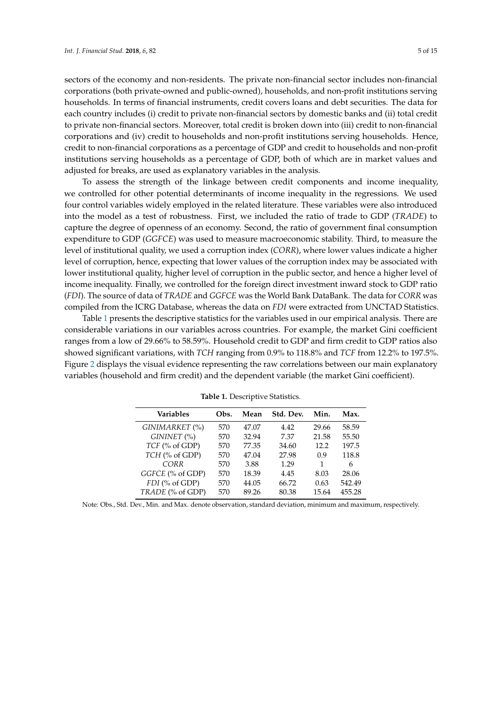sectors of the economy and non-residents. The private non-financial sector includes non-financial corporations (both private-owned and public-owned), households, and non-profit institutions serving households. In terms of financial instruments, credit covers loans and debt securities. The data for each country includes (i) credit to private non-financial sectors by domestic banks and (ii) total credit to private non-financial sectors. Moreover, total credit is broken down into (iii) credit to non-financial corporations and (iv) credit to households and non-profit institutions serving households. Hence, credit to non-financial corporations as a percentage of GDP and credit to households and non-profit institutions serving households as a percentage of GDP, both of which are in market values and adjusted for breaks, are used as explanatory variables in the analysis.

To assess the strength of the linkage between credit components and income inequality, we controlled for other potential determinants of income inequality in the regressions. We used four control variables widely employed in the related literature. These variables were also introduced into the model as a test of robustness. First, we included the ratio of trade to GDP (*TRADE*) to capture the degree of openness of an economy. Second, the ratio of government final consumption expenditure to GDP (*GGFCE*) was used to measure macroeconomic stability. Third, to measure the level of institutional quality, we used a corruption index (*CORR*), where lower values indicate a higher level of corruption, hence, expecting that lower values of the corruption index may be associated with lower institutional quality, higher level of corruption in the public sector, and hence a higher level of income inequality. Finally, we controlled for the foreign direct investment inward stock to GDP ratio (*FDI*). The source of data of *TRADE* and *GGFCE* was the World Bank DataBank. The data for *CORR* was compiled from the ICRG Database, whereas the data on *FDI* were extracted from UNCTAD Statistics.

Table [1](#page-4-0) presents the descriptive statistics for the variables used in our empirical analysis. There are considerable variations in our variables across countries. For example, the market Gini coefficient ranges from a low of 29.66% to 58.59%. Household credit to GDP and firm credit to GDP ratios also showed significant variations, with *TCH* ranging from 0.9% to 118.8% and *TCF* from 12.2% to 197.5%. Figure [2](#page-5-1) displays the visual evidence representing the raw correlations between our main explanatory variables (household and firm credit) and the dependent variable (the market Gini coefficient).

<span id="page-4-0"></span>

| <b>Variables</b> | Obs. | Mean  | Std. Dev. | Min.  | Max.   |
|------------------|------|-------|-----------|-------|--------|
| GINIMARKET (%)   | 570  | 47.07 | 4.42      | 29.66 | 58.59  |
| GININET (%)      | 570  | 32.94 | 7.37      | 21.58 | 55.50  |
| TCF (% of GDP)   | 570  | 77.35 | 34.60     | 12.2  | 197.5  |
| TCH (% of GDP)   | 570  | 47.04 | 27.98     | 0.9   | 118.8  |
| CORR             | 570  | 3.88  | 1.29      | 1     | 6      |
| GGFCE (% of GDP) | 570  | 18.39 | 4.45      | 8.03  | 28.06  |
| FDI (% of GDP)   | 570  | 44.05 | 66.72     | 0.63  | 542.49 |
| TRADE (% of GDP) | 570  | 89.26 | 80.38     | 15.64 | 455.28 |

**Table 1.** Descriptive Statistics.

Note: Obs., Std. Dev., Min. and Max. denote observation, standard deviation, minimum and maximum, respectively.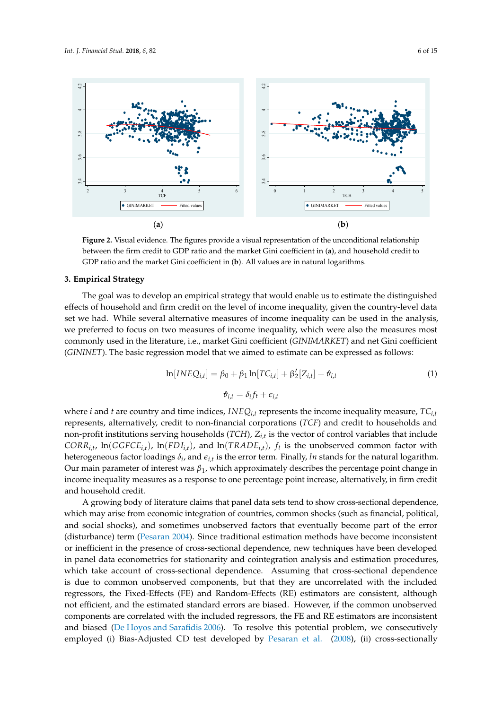<span id="page-5-1"></span>

**Figure 2.** Visual evidence. The figures provide a visual representation of the unconditional **Figure 2.** Visual evidence. The figures provide a visual representation of the unconditional relationship between the firm credit to GDP ratio and the market Gini coefficient in (**a**), and household credit to GDP ratio and the market Gini coefficient in (**b**). All values are in natural logarithms.

## <span id="page-5-0"></span>**3. Empirical Strategy 3. Empirical Strategy**

The goal was to develop an empirical strategy that would enable us to estimate the distinguished The goal was to develop an empirical strategy that would enable us to estimate the distinguished effects of household and firm credit on the level of income inequality, given the country-level data effects of household and firm credit on the level of income inequality, given the country-level data set we had. While several alternative measures of income inequality can be used in the analysis, we preferred to focus on two measures of income inequality, which were also the measures most commonly used in the literature, i.e., market Gini coefficient (*GINIMARKET*) and net Gini coefficient commonly used in the literature, i.e., market Gini coefficient (*GINIMARKET*) and net Gini coefficient (*GININET*). The basic regression model that we aimed to estimate can be expressed as follows: (*GININET*). The basic regression model that we aimed to estimate can be expressed as follows:

$$
\ln[INEQ_{i,t}] = \beta_0 + \beta_1 \ln[TC_{i,t}] + \beta'_2[Z_{i,t}] + \vartheta_{i,t}
$$
  
\n
$$
\vartheta_{i,t} = \delta_i f_t + \epsilon_{i,t}
$$
\n(1)

where *i* and *t* are country and time indices,  $INEQ_{i,t}$  represents the income inequality measure,  $TC_{i,t}$ represents, alternatively, credit to non-financial corporations (*TCF*) and credit to households and non-profit institutions serving households  $(TCH)$ ,  $Z_{i,t}$  is the vector of control variables that include  $CORR_{i,t}$ ,  $\ln(GGFCE_{i,t})$ ,  $\ln(FDI_{i,t})$ , and  $\ln(TRADE_{i,t})$ ,  $f_t$  is the unobserved common factor with between the corresponding  $\delta_i$ , and  $\epsilon_{i,t}$  is the error term. Finally, *ln* stands for the natural logarithm. Nettrogeneous factor routings  $\epsilon_1$ , and  $\epsilon_{1,t}$  is the error term. Thang, *m* stands for the natural regularities.  $p_0$  income inequality measures as a response to one percentage point increase, alternatively in firm easily  $p_0$ income inequality measures as a response to one percentage point increase, alternatively, in firm credit<br>and household aredit and household credit.

A growing body of literature claims that panel data sets tend to show cross-sectional A growing body of literature claims that panel data sets tend to show cross-sectional dependence, dependence, which may arise from economic integration of countries, common shocks (such as which may arise from economic integration of countries, common shocks (such as financial, political, financial, political, and social shocks), and sometimes unobserved factors that eventually become part and social shocks), and sometimes unobserved factors that eventually become part of the error of the error (disturbance) term (Pesaran 2004). Since traditional estimation methods have become (disturbance) term [\(Pesaran](#page-14-8) [2004\)](#page-14-8). Since traditional estimation methods have become inconsistent inconsistent or inefficient in the presence of cross-sectional dependence, new techniques have been or inefficient in the presence of cross-sectional dependence, new techniques have been developed developed in panel data econometrics for stationarity and cointegration analysis and estimation in panel data econometrics for stationarity and cointegration analysis and estimation procedures, procedures, which take account of cross-sectional dependence. Assuming that cross-sectional which take account of cross-sectional dependence. Assuming that cross-sectional dependence It due to common unobserved components, but that they are uncorrelated with the included regressors, the Fixed-Effects (FE) and Random-Effects (RE) estimators are consistent, although although not efficient, and the estimated standard errors are biased. However, if the common not efficient, and the estimated standard errors are biased. However, if the common unobserved unobserved components are correlated with the included regressors, the FE and RE estimators are components are correlated with the included regressors, the FE and RE estimators are inconsistent inconsistent and biased (De Hoyos and Sarafidis 2006). To resolve this potential problem, we and biased [\(De Hoyos and Sarafidis](#page-13-22) [2006\)](#page-13-22). To resolve this potential problem, we consecutively consecutively experimentally employed (i)  $\overline{B}$  is the  $\overline{B}$  consecutively experimentally  $(2008)$ , (ii) cross-continued by  $\overline{B}$  consecutively  $\overline{B}$  (ii) cross-continued by  $\overline{B}$  continued by  $\overline{B}$  cont employed (i) Bias-Adjusted CD test developed by [Pesaran et al.](#page-14-9) [\(2008\)](#page-14-9), (ii) cross-sectionally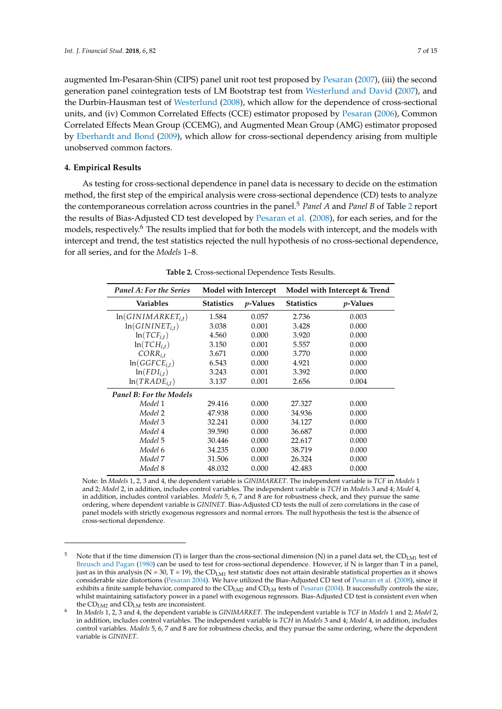augmented Im-Pesaran-Shin (CIPS) panel unit root test proposed by [Pesaran](#page-14-10) [\(2007\)](#page-14-10), (iii) the second generation panel cointegration tests of LM Bootstrap test from [Westerlund and David](#page-14-11) [\(2007\)](#page-14-11), and the Durbin-Hausman test of [Westerlund](#page-14-12) [\(2008\)](#page-14-12), which allow for the dependence of cross-sectional units, and (iv) Common Correlated Effects (CCE) estimator proposed by [Pesaran](#page-14-3) [\(2006\)](#page-14-3), Common Correlated Effects Mean Group (CCEMG), and Augmented Mean Group (AMG) estimator proposed by [Eberhardt and Bond](#page-13-15) [\(2009\)](#page-13-15), which allow for cross-sectional dependency arising from multiple unobserved common factors.

### <span id="page-6-0"></span>**4. Empirical Results**

As testing for cross-sectional dependence in panel data is necessary to decide on the estimation method, the first step of the empirical analysis were cross-sectional dependence (CD) tests to analyze the contemporaneous correlation across countries in the panel.<sup>5</sup> *Panel A* and *Panel B* of Table [2](#page-6-1) report the results of Bias-Adjusted CD test developed by [Pesaran et al.](#page-14-9) [\(2008\)](#page-14-9), for each series, and for the models, respectively.<sup>6</sup> The results implied that for both the models with intercept, and the models with intercept and trend, the test statistics rejected the null hypothesis of no cross-sectional dependence, for all series, and for the *Models* 1–8.

<span id="page-6-1"></span>

| <b>Panel A: For the Series</b> | Model with Intercept |                  | Model with Intercept & Trend |                  |  |
|--------------------------------|----------------------|------------------|------------------------------|------------------|--|
| <b>Variables</b>               | <b>Statistics</b>    | <i>p</i> -Values | <b>Statistics</b>            | <i>p</i> -Values |  |
| $ln(GINIMARKET_{i,t})$         | 1.584                | 0.057            | 2.736                        | 0.003            |  |
| $ln(GININET_{i,t})$            | 3.038                | 0.001            | 3.428                        | 0.000            |  |
| $ln(TCF_{i.t})$                | 4.560                | 0.000            | 3.920                        | 0.000            |  |
| $ln(TCH_{i,t})$                | 3.150                | 0.001            | 5.557                        | 0.000            |  |
| $CORR_{i,t}$                   | 3.671                | 0.000            | 3.770                        | 0.000            |  |
| $ln(GGFCE_{i,t})$              | 6.543                | 0.000            | 4.921                        | 0.000            |  |
| $ln(FDI_{i,t})$                | 3.243                | 0.001            | 3.392                        | 0.000            |  |
| $ln(TRADE_{i,t})$              | 3.137                | 0.001            | 2.656                        | 0.004            |  |
| <b>Panel B: For the Models</b> |                      |                  |                              |                  |  |
| Model 1                        | 29.416               | 0.000            | 27.327                       | 0.000            |  |
| Model 2                        | 47.938               | 0.000            | 34.936                       | 0.000            |  |
| Model 3                        | 32.241               | 0.000            | 34.127                       | 0.000            |  |
| Model 4                        | 39.590               | 0.000            | 36.687                       | 0.000            |  |
| Model 5                        | 30.446               | 0.000            | 22.617                       | 0.000            |  |
| Model 6                        | 34.235               | 0.000            | 38.719                       | 0.000            |  |
| Model 7                        | 31.506               | 0.000            | 26.324                       | 0.000            |  |
| Model 8                        | 48.032               | 0.000            | 42.483                       | 0.000            |  |

**Table 2.** Cross-sectional Dependence Tests Results.

Note: In *Models* 1, 2, 3 and 4, the dependent variable is *GINIMARKET*. The independent variable is *TCF* in *Models* 1 and 2; *Model* 2, in addition, includes control variables. The independent variable is *TCH* in *Models* 3 and 4; *Model* 4, in addition, includes control variables. *Models* 5, 6, 7 and 8 are for robustness check, and they pursue the same ordering, where dependent variable is *GININET*. Bias-Adjusted CD tests the null of zero correlations in the case of panel models with strictly exogenous regressors and normal errors. The null hypothesis the test is the absence of cross-sectional dependence.

<sup>&</sup>lt;sup>5</sup> Note that if the time dimension (T) is larger than the cross-sectional dimension (N) in a panel data set, the CD<sub>LM1</sub> test of [Breusch and Pagan](#page-13-23) [\(1980\)](#page-13-23) can be used to test for cross-sectional dependence. However, if N is larger than T in a panel, just as in this analysis ( $N = 30$ ,  $T = 19$ ), the CD<sub>LM1</sub> test statistic does not attain desirable statistical properties as it shows considerable size distortions [\(Pesaran](#page-14-8) [2004\)](#page-14-8). We have utilized the Bias-Adjusted CD test of [Pesaran et al.](#page-14-9) [\(2008\)](#page-14-9), since it exhibits a finite sample behavior, compared to the  $CD_{LM}$  and  $CD_{LM}$  tests of [Pesaran](#page-14-8) [\(2004\)](#page-14-8). It successfully controls the size, whilst maintaining satisfactory power in a panel with exogenous regressors. Bias-Adjusted CD test is consistent even when the CD<sub>LM2</sub> and CD<sub>LM</sub> tests are inconsistent.

<sup>6</sup> In *Models* 1, 2, 3 and 4, the dependent variable is *GINIMARKET*. The independent variable is *TCF* in *Models* 1 and 2; *Model* 2, in addition, includes control variables. The independent variable is *TCH* in *Models* 3 and 4; *Model* 4, in addition, includes control variables. *Models* 5, 6, 7 and 8 are for robustness checks, and they pursue the same ordering, where the dependent variable is *GININET*.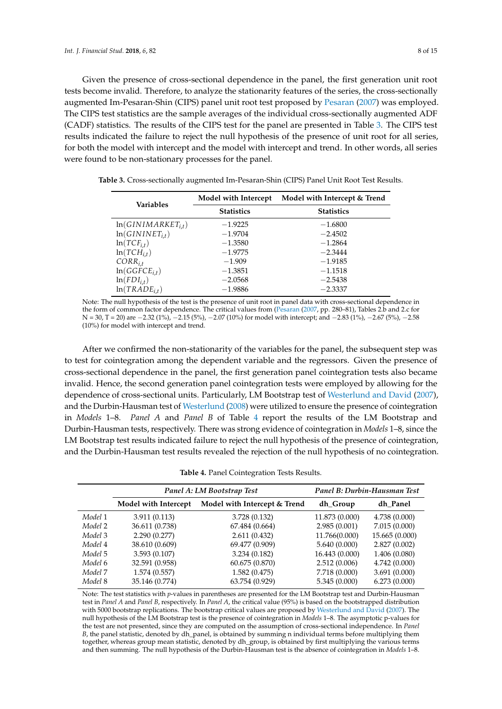Given the presence of cross-sectional dependence in the panel, the first generation unit root tests become invalid. Therefore, to analyze the stationarity features of the series, the cross-sectionally augmented Im-Pesaran-Shin (CIPS) panel unit root test proposed by [Pesaran](#page-14-10) [\(2007\)](#page-14-10) was employed. The CIPS test statistics are the sample averages of the individual cross-sectionally augmented ADF (CADF) statistics. The results of the CIPS test for the panel are presented in Table [3.](#page-7-0) The CIPS test results indicated the failure to reject the null hypothesis of the presence of unit root for all series, for both the model with intercept and the model with intercept and trend. In other words, all series were found to be non-stationary processes for the panel.

| Variables              | Model with Intercept | Model with Intercept & Trend |  |  |
|------------------------|----------------------|------------------------------|--|--|
|                        | <b>Statistics</b>    | <b>Statistics</b>            |  |  |
| $ln(GINIMARKET_{i,t})$ | $-1.9225$            | $-1.6800$                    |  |  |
| $ln(GININET_{i,t})$    | $-1.9704$            | $-2.4502$                    |  |  |
| $ln(TCF_{i.t})$        | $-1.3580$            | $-1.2864$                    |  |  |
| $ln(TCH_{i,t})$        | $-1.9775$            | $-2.3444$                    |  |  |
| $CORR_{i,t}$           | $-1.909$             | $-1.9185$                    |  |  |
| $ln(GGFCE_{i,t})$      | $-1.3851$            | $-1.1518$                    |  |  |
| $ln(FDI_{i,t})$        | $-2.0568$            | $-2.5438$                    |  |  |
| $ln(TRADE_{i,t})$      | $-1.9886$            | $-2.3337$                    |  |  |

<span id="page-7-0"></span>**Table 3.** Cross-sectionally augmented Im-Pesaran-Shin (CIPS) Panel Unit Root Test Results.

Note: The null hypothesis of the test is the presence of unit root in panel data with cross-sectional dependence in the form of common factor dependence. The critical values from [\(Pesaran](#page-14-10) [\(2007,](#page-14-10) pp. 280–81), Tables 2.b and 2.c for N = 30, T = 20) are −2.32 (1%), −2.15 (5%), −2.07 (10%) for model with intercept; and −2.83 (1%), −2.67 (5%), −2.58 (10%) for model with intercept and trend.

After we confirmed the non-stationarity of the variables for the panel, the subsequent step was to test for cointegration among the dependent variable and the regressors. Given the presence of cross-sectional dependence in the panel, the first generation panel cointegration tests also became invalid. Hence, the second generation panel cointegration tests were employed by allowing for the dependence of cross-sectional units. Particularly, LM Bootstrap test of [Westerlund and David](#page-14-11) [\(2007\)](#page-14-11), and the Durbin-Hausman test of [Westerlund](#page-14-12) [\(2008\)](#page-14-12) were utilized to ensure the presence of cointegration in *Models* 1–8. *Panel A* and *Panel B* of Table [4](#page-7-1) report the results of the LM Bootstrap and Durbin-Hausman tests, respectively. There was strong evidence of cointegration in *Models* 1–8, since the LM Bootstrap test results indicated failure to reject the null hypothesis of the presence of cointegration, and the Durbin-Hausman test results revealed the rejection of the null hypothesis of no cointegration.

**Table 4.** Panel Cointegration Tests Results.

<span id="page-7-1"></span>

|         | Panel A: LM Bootstrap Test | Panel B: Durbin-Hausman Test |                |                |
|---------|----------------------------|------------------------------|----------------|----------------|
|         | Model with Intercept       | Model with Intercept & Trend | dh Group       | dh Panel       |
| Model 1 | 3.911 (0.113)              | 3.728(0.132)                 | 11.873 (0.000) | 4.738 (0.000)  |
| Model 2 | 36.611 (0.738)             | 67.484 (0.664)               | 2.985(0.001)   | 7.015 (0.000)  |
| Model 3 | 2.290(0.277)               | 2.611(0.432)                 | 11.766(0.000)  | 15.665 (0.000) |
| Model 4 | 38.610 (0.609)             | 69.477 (0.909)               | 5.640(0.000)   | 2.827(0.002)   |
| Model 5 | 3.593(0.107)               | 3.234(0.182)                 | 16.443 (0.000) | 1.406(0.080)   |
| Model 6 | 32.591 (0.958)             | 60.675 (0.870)               | 2.512(0.006)   | 4.742 (0.000)  |
| Model 7 | 1.574(0.557)               | 1.582(0.475)                 | 7.718 (0.000)  | 3.691(0.000)   |
| Model 8 | 35.146 (0.774)             | 63.754 (0.929)               | 5.345 (0.000)  | 6.273(0.000)   |

Note: The test statistics with *p*-values in parentheses are presented for the LM Bootstrap test and Durbin-Hausman test in *Panel A* and *Panel B*, respectively. In *Panel A*, the critical value (95%) is based on the bootstrapped distribution with 5000 bootstrap replications. The bootstrap critical values are proposed by [Westerlund and David](#page-14-11) [\(2007\)](#page-14-11). The null hypothesis of the LM Bootstrap test is the presence of cointegration in *Models* 1–8. The asymptotic p-values for the test are not presented, since they are computed on the assumption of cross-sectional independence. In *Panel B*, the panel statistic, denoted by dh\_panel, is obtained by summing n individual terms before multiplying them together, whereas group mean statistic, denoted by dh\_group, is obtained by first multiplying the various terms and then summing. The null hypothesis of the Durbin-Hausman test is the absence of cointegration in *Models* 1–8.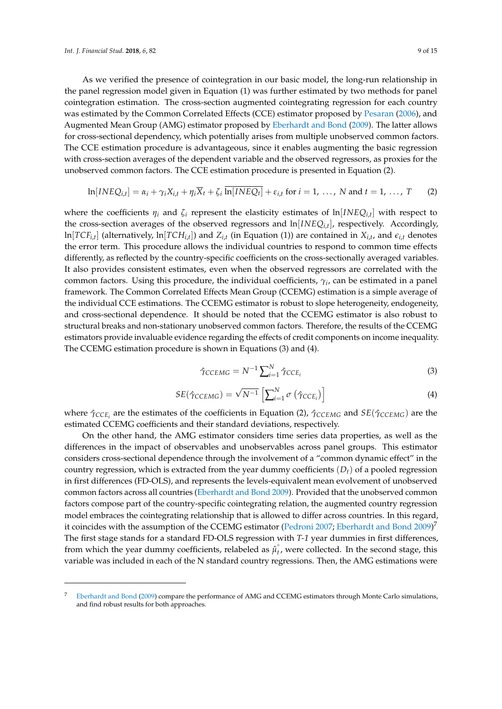As we verified the presence of cointegration in our basic model, the long-run relationship in the panel regression model given in Equation (1) was further estimated by two methods for panel cointegration estimation. The cross-section augmented cointegrating regression for each country was estimated by the Common Correlated Effects (CCE) estimator proposed by [Pesaran](#page-14-3) [\(2006\)](#page-14-3), and Augmented Mean Group (AMG) estimator proposed by [Eberhardt and Bond](#page-13-15) [\(2009\)](#page-13-15). The latter allows for cross-sectional dependency, which potentially arises from multiple unobserved common factors. The CCE estimation procedure is advantageous, since it enables augmenting the basic regression with cross-section averages of the dependent variable and the observed regressors, as proxies for the unobserved common factors. The CCE estimation procedure is presented in Equation (2).

$$
\ln[INEQ_{i,t}] = \alpha_i + \gamma_i X_{i,t} + \eta_i \overline{X}_t + \zeta_i \ln[INEQ_t] + \varepsilon_{i,t} \text{ for } i = 1, ..., N \text{ and } t = 1, ..., T
$$
 (2)

where the coefficients  $\eta_i$  and  $\zeta_i$  represent the elasticity estimates of  $\ln [INEQ_{i,t}]$  with respect to the cross-section averages of the observed regressors and ln[*INEQi*,*<sup>t</sup>* ], respectively. Accordingly,  $\ln[TCF_{i,t}]$  (alternatively,  $\ln[TCH_{i,t}]$ ) and  $Z_{i,t}$  (in Equation (1)) are contained in  $X_{i,t}$ , and  $\epsilon_{i,t}$  denotes the error term. This procedure allows the individual countries to respond to common time effects differently, as reflected by the country-specific coefficients on the cross-sectionally averaged variables. It also provides consistent estimates, even when the observed regressors are correlated with the common factors. Using this procedure, the individual coefficients, *γ<sup>i</sup>* , can be estimated in a panel framework. The Common Correlated Effects Mean Group (CCEMG) estimation is a simple average of the individual CCE estimations. The CCEMG estimator is robust to slope heterogeneity, endogeneity, and cross-sectional dependence. It should be noted that the CCEMG estimator is also robust to structural breaks and non-stationary unobserved common factors. Therefore, the results of the CCEMG estimators provide invaluable evidence regarding the effects of credit components on income inequality. The CCEMG estimation procedure is shown in Equations (3) and (4).

$$
\hat{\gamma}_{CCEMG} = N^{-1} \sum_{i=1}^{N} \hat{\gamma}_{CCE_i}
$$
\n(3)

$$
SE(\hat{\gamma}_{CCEMG}) = \sqrt{N^{-1}} \left[ \sum_{i=1}^{N} \sigma (\hat{\gamma}_{CCE_i}) \right]
$$
 (4)

where *γ*ˆ*CCE<sup>i</sup>* are the estimates of the coefficients in Equation (2), *γ*ˆ*CCEMG* and *SE*(*γ*ˆ*CCEMG*) are the estimated CCEMG coefficients and their standard deviations, respectively.

On the other hand, the AMG estimator considers time series data properties, as well as the differences in the impact of observables and unobservables across panel groups. This estimator considers cross-sectional dependence through the involvement of a "common dynamic effect" in the country regression, which is extracted from the year dummy coefficients (*Dt*) of a pooled regression in first differences (FD-OLS), and represents the levels-equivalent mean evolvement of unobserved common factors across all countries [\(Eberhardt and Bond](#page-13-15) [2009\)](#page-13-15). Provided that the unobserved common factors compose part of the country-specific cointegrating relation, the augmented country regression model embraces the cointegrating relationship that is allowed to differ across countries. In this regard, it coincides with the assumption of the CCEMG estimator [\(Pedroni](#page-14-13) [2007;](#page-14-13) [Eberhardt and Bond](#page-13-15) [2009\)](#page-13-15) $^7$ The first stage stands for a standard FD-OLS regression with *T-1* year dummies in first differences, from which the year dummy coefficients, relabeled as  $\hat{\mu}_t^{\circ}$ *t* , were collected. In the second stage, this variable was included in each of the N standard country regressions. Then, the AMG estimations were

<sup>7</sup> [Eberhardt and Bond](#page-13-15) [\(2009\)](#page-13-15) compare the performance of AMG and CCEMG estimators through Monte Carlo simulations, and find robust results for both approaches.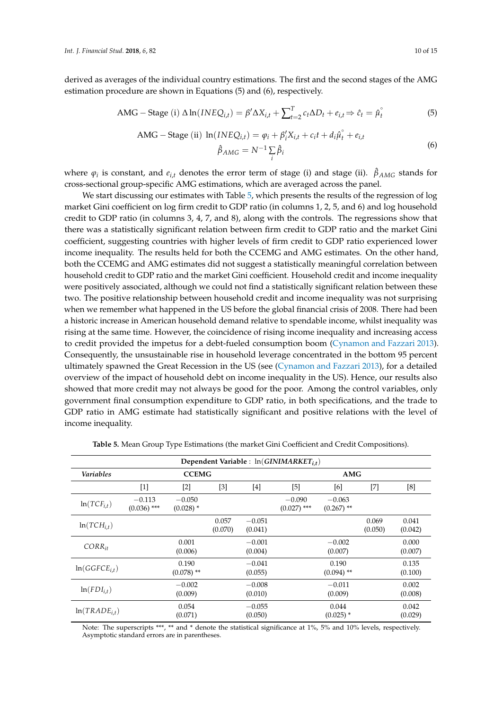derived as averages of the individual country estimations. The first and the second stages of the AMG estimation procedure are shown in Equations (5) and (6), respectively.

$$
AMG - Stage (i) \Delta \ln (INEQ_{i,t}) = \beta' \Delta X_{i,t} + \sum_{t=2}^{T} c_t \Delta D_t + e_{i,t} \Rightarrow \hat{c}_t = \hat{\mu}_t^{\circ}
$$
 (5)

$$
\text{AMG} - \text{Stage (ii)} \ln(\text{INEQ}_{i,t}) = \varphi_i + \beta'_i X_{i,t} + c_i t + d_i \hat{\mu}_t^{\circ} + e_{i,t}
$$
\n
$$
\hat{\beta}_{AMG} = N^{-1} \sum_i \hat{\beta}_i \tag{6}
$$

where  $\varphi_i$  is constant, and  $e_{i,t}$  denotes the error term of stage (i) and stage (ii).  $\hat{\beta}_{AMG}$  stands for cross-sectional group-specific AMG estimations, which are averaged across the panel.

We start discussing our estimates with Table [5,](#page-9-0) which presents the results of the regression of log market Gini coefficient on log firm credit to GDP ratio (in columns 1, 2, 5, and 6) and log household credit to GDP ratio (in columns 3, 4, 7, and 8), along with the controls. The regressions show that there was a statistically significant relation between firm credit to GDP ratio and the market Gini coefficient, suggesting countries with higher levels of firm credit to GDP ratio experienced lower income inequality. The results held for both the CCEMG and AMG estimates. On the other hand, both the CCEMG and AMG estimates did not suggest a statistically meaningful correlation between household credit to GDP ratio and the market Gini coefficient. Household credit and income inequality were positively associated, although we could not find a statistically significant relation between these two. The positive relationship between household credit and income inequality was not surprising when we remember what happened in the US before the global financial crisis of 2008. There had been a historic increase in American household demand relative to spendable income, whilst inequality was rising at the same time. However, the coincidence of rising income inequality and increasing access to credit provided the impetus for a debt-fueled consumption boom [\(Cynamon and Fazzari](#page-13-24) [2013\)](#page-13-24). Consequently, the unsustainable rise in household leverage concentrated in the bottom 95 percent ultimately spawned the Great Recession in the US (see [\(Cynamon and Fazzari](#page-13-24) [2013\)](#page-13-24), for a detailed overview of the impact of household debt on income inequality in the US). Hence, our results also showed that more credit may not always be good for the poor. Among the control variables, only government final consumption expenditure to GDP ratio, in both specifications, and the trade to GDP ratio in AMG estimate had statistically significant and positive relations with the level of income inequality.

<span id="page-9-0"></span>

| Dependent Variable : $ln(GINIMARKET_{i})$ |                           |                         |                  |                     |                           |                          |                  |                  |
|-------------------------------------------|---------------------------|-------------------------|------------------|---------------------|---------------------------|--------------------------|------------------|------------------|
| Variables                                 | <b>CCEMG</b>              |                         |                  | AMG                 |                           |                          |                  |                  |
|                                           | $[1]$                     | $[2]$                   | $[3]$            | $[4]$               | $[5]$                     | [6]                      | $[7]$            | [8]              |
| $ln(TCF_{i,t})$                           | $-0.113$<br>$(0.036)$ *** | $-0.050$<br>$(0.028)$ * |                  |                     | $-0.090$<br>$(0.027)$ *** | $-0.063$<br>$(0.267)$ ** |                  |                  |
| $ln(TCH_{i,t})$                           |                           |                         | 0.057<br>(0.070) | $-0.051$<br>(0.041) |                           |                          | 0.069<br>(0.050) | 0.041<br>(0.042) |
| $CORR_{it}$                               |                           | 0.001<br>(0.006)        |                  | $-0.001$<br>(0.004) |                           | $-0.002$<br>(0.007)      |                  | 0.000<br>(0.007) |
| $ln(GGFCE_{i,t})$                         |                           | 0.190<br>$(0.078)$ **   |                  | $-0.041$<br>(0.055) |                           | 0.190<br>$(0.094)$ **    |                  | 0.135<br>(0.100) |
| $ln(FDI_{i,t})$                           |                           | $-0.002$<br>(0.009)     |                  | $-0.008$<br>(0.010) |                           | $-0.011$<br>(0.009)      |                  | 0.002<br>(0.008) |
| $ln(TRADE_{i,t})$                         |                           | 0.054<br>(0.071)        |                  | $-0.055$<br>(0.050) |                           | 0.044<br>$(0.025)$ *     |                  | 0.042<br>(0.029) |

**Table 5.** Mean Group Type Estimations (the market Gini Coefficient and Credit Compositions).

Note: The superscripts \*\*\*, \*\* and \* denote the statistical significance at 1%, 5% and 10% levels, respectively. Asymptotic standard errors are in parentheses.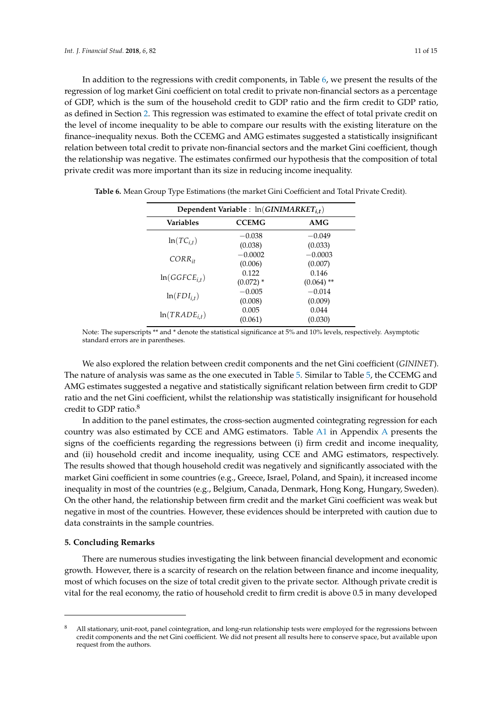In addition to the regressions with credit components, in Table [6,](#page-10-1) we present the results of the regression of log market Gini coefficient on total credit to private non-financial sectors as a percentage of GDP, which is the sum of the household credit to GDP ratio and the firm credit to GDP ratio, as defined in Section [2.](#page-3-0) This regression was estimated to examine the effect of total private credit on the level of income inequality to be able to compare our results with the existing literature on the finance–inequality nexus. Both the CCEMG and AMG estimates suggested a statistically insignificant relation between total credit to private non-financial sectors and the market Gini coefficient, though the relationship was negative. The estimates confirmed our hypothesis that the composition of total private credit was more important than its size in reducing income inequality.

| Dependent Variable : $ln(GINIMARKET_{it})$ |              |              |  |  |  |
|--------------------------------------------|--------------|--------------|--|--|--|
| Variables                                  | <b>CCEMG</b> | AMG          |  |  |  |
| $ln(TC_{i,t})$                             | $-0.038$     | $-0.049$     |  |  |  |
|                                            | (0.038)      | (0.033)      |  |  |  |
| $CORR_{it}$                                | $-0.0002$    | $-0.0003$    |  |  |  |
|                                            | (0.006)      | (0.007)      |  |  |  |
| $ln(GGFCE_{i}$                             | 0.122        | 0.146        |  |  |  |
|                                            | $(0.072)$ *  | $(0.064)$ ** |  |  |  |
| $ln(FDI_{i,t})$                            | $-0.005$     | $-0.014$     |  |  |  |
|                                            | (0.008)      | (0.009)      |  |  |  |
| $ln(TRADE_{i,t})$                          | 0.005        | 0.044        |  |  |  |
|                                            | (0.061)      | (0.030)      |  |  |  |

<span id="page-10-1"></span>**Table 6.** Mean Group Type Estimations (the market Gini Coefficient and Total Private Credit).

Note: The superscripts \*\* and \* denote the statistical significance at 5% and 10% levels, respectively. Asymptotic standard errors are in parentheses.

We also explored the relation between credit components and the net Gini coefficient (*GININET*). The nature of analysis was same as the one executed in Table [5.](#page-9-0) Similar to Table [5,](#page-9-0) the CCEMG and AMG estimates suggested a negative and statistically significant relation between firm credit to GDP ratio and the net Gini coefficient, whilst the relationship was statistically insignificant for household credit to GDP ratio.<sup>8</sup>

In addition to the panel estimates, the cross-section augmented cointegrating regression for each country was also estimated by CCE and AMG estimators. Table [A1](#page-12-8) in Appendix [A](#page-12-9) presents the signs of the coefficients regarding the regressions between (i) firm credit and income inequality, and (ii) household credit and income inequality, using CCE and AMG estimators, respectively. The results showed that though household credit was negatively and significantly associated with the market Gini coefficient in some countries (e.g., Greece, Israel, Poland, and Spain), it increased income inequality in most of the countries (e.g., Belgium, Canada, Denmark, Hong Kong, Hungary, Sweden). On the other hand, the relationship between firm credit and the market Gini coefficient was weak but negative in most of the countries. However, these evidences should be interpreted with caution due to data constraints in the sample countries.

#### <span id="page-10-0"></span>**5. Concluding Remarks**

There are numerous studies investigating the link between financial development and economic growth. However, there is a scarcity of research on the relation between finance and income inequality, most of which focuses on the size of total credit given to the private sector. Although private credit is vital for the real economy, the ratio of household credit to firm credit is above 0.5 in many developed

All stationary, unit-root, panel cointegration, and long-run relationship tests were employed for the regressions between credit components and the net Gini coefficient. We did not present all results here to conserve space, but available upon request from the authors.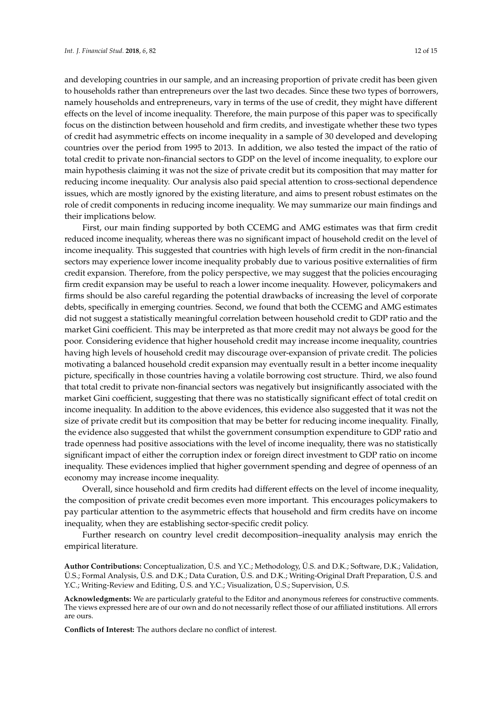and developing countries in our sample, and an increasing proportion of private credit has been given to households rather than entrepreneurs over the last two decades. Since these two types of borrowers, namely households and entrepreneurs, vary in terms of the use of credit, they might have different effects on the level of income inequality. Therefore, the main purpose of this paper was to specifically focus on the distinction between household and firm credits, and investigate whether these two types of credit had asymmetric effects on income inequality in a sample of 30 developed and developing countries over the period from 1995 to 2013. In addition, we also tested the impact of the ratio of total credit to private non-financial sectors to GDP on the level of income inequality, to explore our main hypothesis claiming it was not the size of private credit but its composition that may matter for reducing income inequality. Our analysis also paid special attention to cross-sectional dependence issues, which are mostly ignored by the existing literature, and aims to present robust estimates on the role of credit components in reducing income inequality. We may summarize our main findings and their implications below.

First, our main finding supported by both CCEMG and AMG estimates was that firm credit reduced income inequality, whereas there was no significant impact of household credit on the level of income inequality. This suggested that countries with high levels of firm credit in the non-financial sectors may experience lower income inequality probably due to various positive externalities of firm credit expansion. Therefore, from the policy perspective, we may suggest that the policies encouraging firm credit expansion may be useful to reach a lower income inequality. However, policymakers and firms should be also careful regarding the potential drawbacks of increasing the level of corporate debts, specifically in emerging countries. Second, we found that both the CCEMG and AMG estimates did not suggest a statistically meaningful correlation between household credit to GDP ratio and the market Gini coefficient. This may be interpreted as that more credit may not always be good for the poor. Considering evidence that higher household credit may increase income inequality, countries having high levels of household credit may discourage over-expansion of private credit. The policies motivating a balanced household credit expansion may eventually result in a better income inequality picture, specifically in those countries having a volatile borrowing cost structure. Third, we also found that total credit to private non-financial sectors was negatively but insignificantly associated with the market Gini coefficient, suggesting that there was no statistically significant effect of total credit on income inequality. In addition to the above evidences, this evidence also suggested that it was not the size of private credit but its composition that may be better for reducing income inequality. Finally, the evidence also suggested that whilst the government consumption expenditure to GDP ratio and trade openness had positive associations with the level of income inequality, there was no statistically significant impact of either the corruption index or foreign direct investment to GDP ratio on income inequality. These evidences implied that higher government spending and degree of openness of an economy may increase income inequality.

Overall, since household and firm credits had different effects on the level of income inequality, the composition of private credit becomes even more important. This encourages policymakers to pay particular attention to the asymmetric effects that household and firm credits have on income inequality, when they are establishing sector-specific credit policy.

Further research on country level credit decomposition–inequality analysis may enrich the empirical literature.

**Author Contributions:** Conceptualization, Ü.S. and Y.C.; Methodology, Ü.S. and D.K.; Software, D.K.; Validation, Ü.S.; Formal Analysis, Ü.S. and D.K.; Data Curation, Ü.S. and D.K.; Writing-Original Draft Preparation, Ü.S. and Y.C.; Writing-Review and Editing, Ü.S. and Y.C.; Visualization, Ü.S.; Supervision, Ü.S.

**Acknowledgments:** We are particularly grateful to the Editor and anonymous referees for constructive comments. The views expressed here are of our own and do not necessarily reflect those of our affiliated institutions. All errors are ours.

**Conflicts of Interest:** The authors declare no conflict of interest.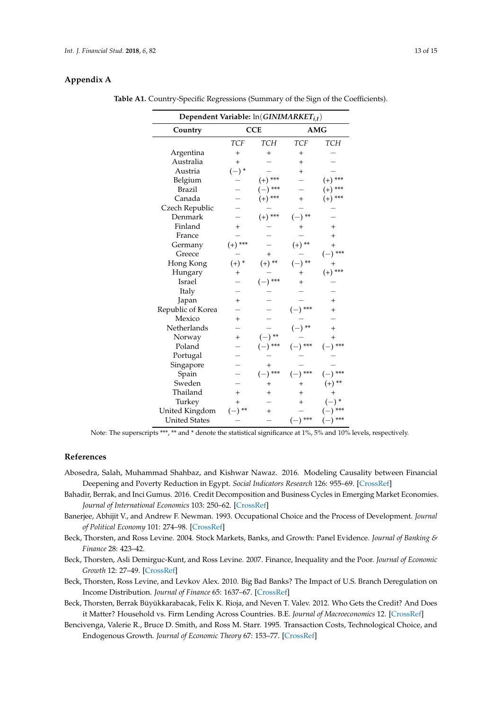### <span id="page-12-9"></span><span id="page-12-8"></span>**Appendix A**

| Dependent Variable: $ln(GINIMARKET_{i,t})$ |                          |            |            |            |  |
|--------------------------------------------|--------------------------|------------|------------|------------|--|
| Country                                    |                          | <b>CCE</b> | <b>AMG</b> |            |  |
|                                            | <b>TCF</b><br><b>TCH</b> |            | <b>TCF</b> | <b>TCH</b> |  |
| Argentina                                  | $^{+}$                   | $+$        | $+$        |            |  |
| Australia                                  | $^{+}$                   |            | $+$        |            |  |
| Austria                                    | $(-) *$                  |            | $^{+}$     |            |  |
| Belgium                                    |                          | $(+)$ ***  |            | $(+)$ ***  |  |
| <b>Brazil</b>                              |                          |            |            |            |  |
| Canada                                     |                          |            | $\ddot{}$  | $^{(+)}$   |  |
| Czech Republic                             |                          |            |            |            |  |
| Denmark                                    |                          | $(+)$ ***  | -) **      |            |  |
| Finland                                    | $\ddot{}$                |            |            |            |  |
| France                                     |                          |            |            |            |  |
| Germany                                    | $(+)$ ***                |            |            |            |  |
| Greece                                     |                          |            |            | $)$ ***    |  |
| Hong Kong                                  | $(+) *$                  | $(+)$ **   | **         |            |  |
| Hungary                                    | $^{+}$                   |            |            |            |  |
| Israel                                     |                          | -)***      |            |            |  |
| Italy                                      |                          |            |            |            |  |
| Japan                                      | $^{+}$                   |            |            |            |  |
| Republic of Korea                          |                          |            | $(-)$ ***  |            |  |
| Mexico                                     | $^{+}$                   |            |            |            |  |
| Netherlands                                |                          |            |            |            |  |
| Norway                                     | $^{+}$                   |            |            |            |  |
| Poland                                     |                          |            |            |            |  |
| Portugal                                   |                          |            |            |            |  |
| Singapore                                  |                          |            |            |            |  |
| Spain                                      |                          | ***        | ***        | ***        |  |
| Sweden                                     |                          | $^{+}$     |            |            |  |
| Thailand                                   | $^{+}$                   |            |            |            |  |
| Turkey                                     |                          |            |            |            |  |
| United Kingdom                             | .) **                    | $^{+}$     |            |            |  |
| <b>United States</b>                       |                          |            | -) ***     |            |  |

**Table A1.** Country-Specific Regressions (Summary of the Sign of the Coefficients).

Note: The superscripts \*\*\*, \*\* and \* denote the statistical significance at 1%, 5% and 10% levels, respectively.

### **References**

- <span id="page-12-6"></span>Abosedra, Salah, Muhammad Shahbaz, and Kishwar Nawaz. 2016. Modeling Causality between Financial Deepening and Poverty Reduction in Egypt. *Social Indicators Research* 126: 955–69. [\[CrossRef\]](http://dx.doi.org/10.1007/s11205-015-0929-2)
- <span id="page-12-7"></span>Bahadir, Berrak, and Inci Gumus. 2016. Credit Decomposition and Business Cycles in Emerging Market Economies. *Journal of International Economics* 103: 250–62. [\[CrossRef\]](http://dx.doi.org/10.1016/j.jinteco.2016.10.003)
- <span id="page-12-3"></span>Banerjee, Abhijit V., and Andrew F. Newman. 1993. Occupational Choice and the Process of Development. *Journal of Political Economy* 101: 274–98. [\[CrossRef\]](http://dx.doi.org/10.1086/261876)
- <span id="page-12-1"></span>Beck, Thorsten, and Ross Levine. 2004. Stock Markets, Banks, and Growth: Panel Evidence. *Journal of Banking & Finance* 28: 423–42.
- <span id="page-12-2"></span>Beck, Thorsten, Asli Demirguc-Kunt, and Ross Levine. 2007. Finance, Inequality and the Poor. *Journal of Economic Growth* 12: 27–49. [\[CrossRef\]](http://dx.doi.org/10.1007/s10887-007-9010-6)
- <span id="page-12-4"></span>Beck, Thorsten, Ross Levine, and Levkov Alex. 2010. Big Bad Banks? The Impact of U.S. Branch Deregulation on Income Distribution. *Journal of Finance* 65: 1637–67. [\[CrossRef\]](http://dx.doi.org/10.1111/j.1540-6261.2010.01589.x)
- <span id="page-12-5"></span>Beck, Thorsten, Berrak Büyükkarabacak, Felix K. Rioja, and Neven T. Valev. 2012. Who Gets the Credit? And Does it Matter? Household vs. Firm Lending Across Countries. B.E. *Journal of Macroeconomics* 12. [\[CrossRef\]](http://dx.doi.org/10.1515/1935-1690)
- <span id="page-12-0"></span>Bencivenga, Valerie R., Bruce D. Smith, and Ross M. Starr. 1995. Transaction Costs, Technological Choice, and Endogenous Growth. *Journal of Economic Theory* 67: 153–77. [\[CrossRef\]](http://dx.doi.org/10.1006/jeth.1995.1069)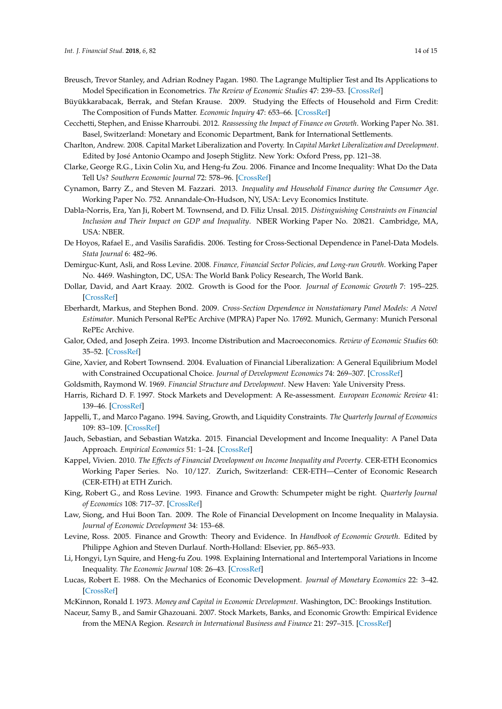- <span id="page-13-23"></span>Breusch, Trevor Stanley, and Adrian Rodney Pagan. 1980. The Lagrange Multiplier Test and Its Applications to Model Specification in Econometrics. *The Review of Economic Studies* 47: 239–53. [\[CrossRef\]](http://dx.doi.org/10.2307/2297111)
- <span id="page-13-21"></span>Büyükkarabacak, Berrak, and Stefan Krause. 2009. Studying the Effects of Household and Firm Credit: The Composition of Funds Matter. *Economic Inquiry* 47: 653–66. [\[CrossRef\]](http://dx.doi.org/10.1111/j.1465-7295.2008.00173.x)
- <span id="page-13-7"></span>Cecchetti, Stephen, and Enisse Kharroubi. 2012. *Reassessing the Impact of Finance on Growth*. Working Paper No. 381. Basel, Switzerland: Monetary and Economic Department, Bank for International Settlements.
- <span id="page-13-18"></span>Charlton, Andrew. 2008. Capital Market Liberalization and Poverty. In *Capital Market Liberalization and Development*. Edited by José Antonio Ocampo and Joseph Stiglitz. New York: Oxford Press, pp. 121–38.
- <span id="page-13-9"></span>Clarke, George R.G., Lixin Colin Xu, and Heng-fu Zou. 2006. Finance and Income Inequality: What Do the Data Tell Us? *Southern Economic Journal* 72: 578–96. [\[CrossRef\]](http://dx.doi.org/10.2307/20111834)
- <span id="page-13-24"></span>Cynamon, Barry Z., and Steven M. Fazzari. 2013. *Inequality and Household Finance during the Consumer Age*. Working Paper No. 752. Annandale-On-Hudson, NY, USA: Levy Economics Institute.
- <span id="page-13-14"></span>Dabla-Norris, Era, Yan Ji, Robert M. Townsend, and D. Filiz Unsal. 2015. *Distinguishing Constraints on Financial Inclusion and Their Impact on GDP and Inequality*. NBER Working Paper No. 20821. Cambridge, MA, USA: NBER.
- <span id="page-13-22"></span>De Hoyos, Rafael E., and Vasilis Sarafidis. 2006. Testing for Cross-Sectional Dependence in Panel-Data Models. *Stata Journal* 6: 482–96.
- <span id="page-13-3"></span>Demirguc-Kunt, Asli, and Ross Levine. 2008. *Finance, Financial Sector Policies, and Long-run Growth*. Working Paper No. 4469. Washington, DC, USA: The World Bank Policy Research, The World Bank.
- <span id="page-13-17"></span>Dollar, David, and Aart Kraay. 2002. Growth is Good for the Poor. *Journal of Economic Growth* 7: 195–225. [\[CrossRef\]](http://dx.doi.org/10.1023/A:1020139631000)
- <span id="page-13-15"></span>Eberhardt, Markus, and Stephen Bond. 2009. *Cross-Section Dependence in Nonstationary Panel Models: A Novel Estimator*. Munich Personal RePEc Archive (MPRA) Paper No. 17692. Munich, Germany: Munich Personal RePEc Archive.
- <span id="page-13-12"></span>Galor, Oded, and Joseph Zeira. 1993. Income Distribution and Macroeconomics. *Review of Economic Studies* 60: 35–52. [\[CrossRef\]](http://dx.doi.org/10.2307/2297811)
- <span id="page-13-13"></span>Gine, Xavier, and Robert Townsend. 2004. Evaluation of Financial Liberalization: A General Equilibrium Model with Constrained Occupational Choice. *Journal of Development Economics* 74: 269–307. [\[CrossRef\]](http://dx.doi.org/10.1016/j.jdeveco.2003.03.005)
- <span id="page-13-6"></span><span id="page-13-0"></span>Goldsmith, Raymond W. 1969. *Financial Structure and Development*. New Haven: Yale University Press.
- Harris, Richard D. F. 1997. Stock Markets and Development: A Re-assessment. *European Economic Review* 41: 139–46. [\[CrossRef\]](http://dx.doi.org/10.1016/S0014-2921(96)00021-9)
- <span id="page-13-20"></span>Jappelli, T., and Marco Pagano. 1994. Saving, Growth, and Liquidity Constraints. *The Quarterly Journal of Economics* 109: 83–109. [\[CrossRef\]](http://dx.doi.org/10.2307/2118429)
- <span id="page-13-19"></span>Jauch, Sebastian, and Sebastian Watzka. 2015. Financial Development and Income Inequality: A Panel Data Approach. *Empirical Economics* 51: 1–24. [\[CrossRef\]](http://dx.doi.org/10.1007/s00181-015-1008-x)
- <span id="page-13-10"></span>Kappel, Vivien. 2010. *The Effects of Financial Development on Income Inequality and Poverty*. CER-ETH Economics Working Paper Series. No. 10/127. Zurich, Switzerland: CER-ETH—Center of Economic Research (CER-ETH) at ETH Zurich.
- <span id="page-13-2"></span>King, Robert G., and Ross Levine. 1993. Finance and Growth: Schumpeter might be right. *Quarterly Journal of Economics* 108: 717–37. [\[CrossRef\]](http://dx.doi.org/10.2307/2118406)
- <span id="page-13-11"></span>Law, Siong, and Hui Boon Tan. 2009. The Role of Financial Development on Income Inequality in Malaysia. *Journal of Economic Development* 34: 153–68.
- <span id="page-13-8"></span>Levine, Ross. 2005. Finance and Growth: Theory and Evidence. In *Handbook of Economic Growth*. Edited by Philippe Aghion and Steven Durlauf. North-Holland: Elsevier, pp. 865–933.
- <span id="page-13-16"></span>Li, Hongyi, Lyn Squire, and Heng-fu Zou. 1998. Explaining International and Intertemporal Variations in Income Inequality. *The Economic Journal* 108: 26–43. [\[CrossRef\]](http://dx.doi.org/10.1111/1468-0297.00271)
- <span id="page-13-4"></span>Lucas, Robert E. 1988. On the Mechanics of Economic Development. *Journal of Monetary Economics* 22: 3–42. [\[CrossRef\]](http://dx.doi.org/10.1016/0304-3932(88)90168-7)

<span id="page-13-1"></span>McKinnon, Ronald I. 1973. *Money and Capital in Economic Development*. Washington, DC: Brookings Institution.

<span id="page-13-5"></span>Naceur, Samy B., and Samir Ghazouani. 2007. Stock Markets, Banks, and Economic Growth: Empirical Evidence from the MENA Region. *Research in International Business and Finance* 21: 297–315. [\[CrossRef\]](http://dx.doi.org/10.1016/j.ribaf.2006.05.002)